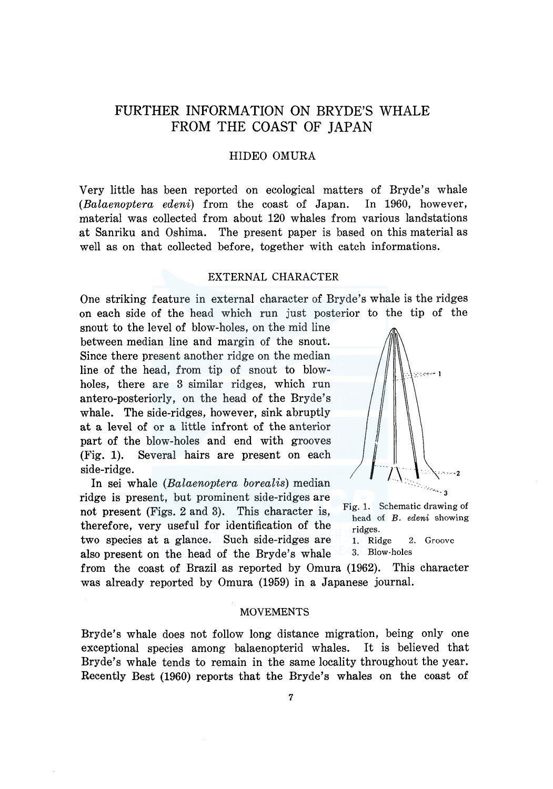## FURTHER INFORMATION ON BRYDE'S WHALE FROM THE COAST OF JAPAN

## HIDEO OMURA

Very little has been reported on ecological matters of Bryde's whale *(Balaenoptera edeni)* from the coast of Japan. In 1960, however, material was collected from about 120 whales from various landstations at Sanriku and Oshima. The present paper is based on this material as well as on that collected before, together with catch informations.

## EXTERNAL CHARACTER

One striking feature in external character of Bryde's whale is the ridges on each side of the head which run just posterior to the tip of the

snout to the level of blow-holes, on the mid line between median line and margin of the snout. Since there present another ridge on the median line of the head, from tip of snout to blowholes, there are 3 similar ridges, which run antero-posteriorly, on the head of the Bryde's whale. The side-ridges, however, sink abruptly at a level of or a little infront of the anterior part of the blow-holes and end with grooves (Fig. 1). Several hairs are present on each (Fig. 1). Several nairs are present on each  $\begin{array}{c} \hline \text{side-ridge.} \\ \hline \text{in } \\ \hline \end{array}$  in sei whale *(Balaenoptera borealis)* median

ridge is present, but prominent side-ridges are not present (Figs. 2 and 3). This character is, Fig. 1. Schematic drawing of therefore, very useful for identification of the ridges. two species at a glance. Such side-ridges are 1. Ridge 2. Groove also present on the head of the Bryde's whale 3. Blow-holes



head of *B. edeni* showing

from the coast of Brazil as reported by Omura (1962). This character was already reported by Omura (1959) in a Japanese journal.

#### MOVEMENTS

Bryde's whale does not follow long distance migration, being only one exceptional species among balaenopterid whales. It is believed that Bryde's whale tends to remain in the same locality throughout the year. Recently Best (1960) reports that the Bryde's whales on the coast of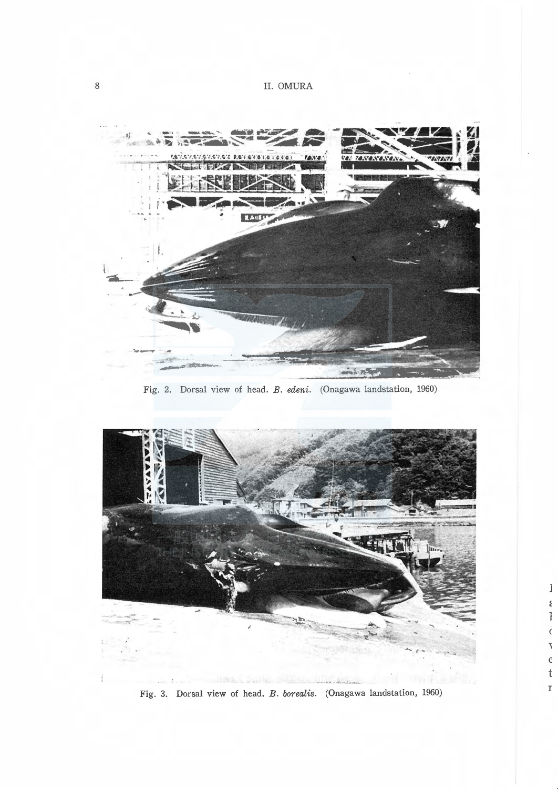

Fig. 2. Dorsal view of head. B. edeni. (Onagawa landstation, 1960)



 $\begin{array}{c} 1 \\ \epsilon \\ \epsilon \\ \epsilon \end{array}$ 

 $\begin{array}{c} \tau \\ c \\ t \end{array}$ 

 $\bar{\mathbf{r}}$ 

Fig. 3. Dorsal view of head. B. borealis. (Onagawa landstation, 1960)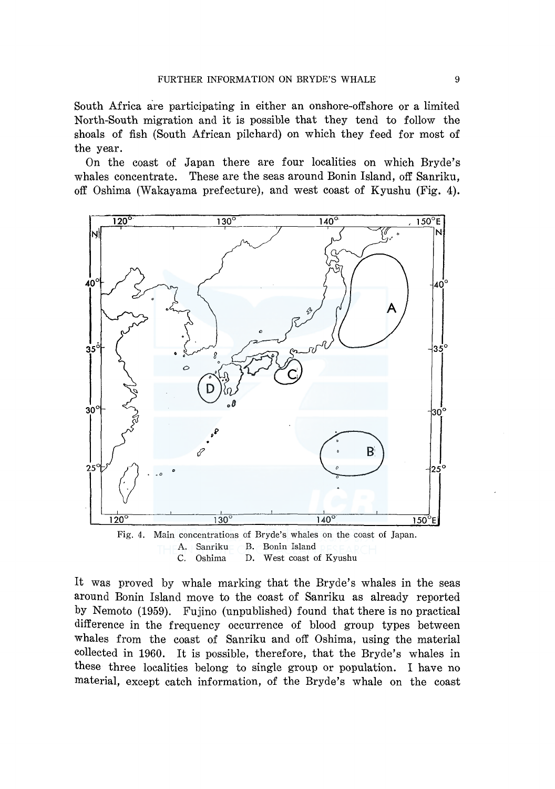South Africa are participating in either an onshore-off shore or a limited North-South migration and it is possible that they tend to follow the shoals of fish (South African pilchard) on which they feed for most of the year.

On the coast of Japan there are four localities on which Bryde's whales concentrate. These are the seas around Bonin Island, off Sanriku, off Oshima (Wakayama prefecture), and west coast of Kyushu (Fig. 4).



C. Oshima D. West coast of Kyushu

It was proved by whale marking that the Bryde's whales in the seas around Bonin Island move to the coast of Sanriku as already reported by Nemoto (1959). Fujino (unpublished) found that there is no practical difference in the frequency occurrence of blood group types between whales from the coast of Sanriku and off Oshima, using the material collected in 1960. It is possible, therefore, that the Bryde's whales in these three localities belong to single group or population. I have no material, except catch information, of the Bryde's whale on the coast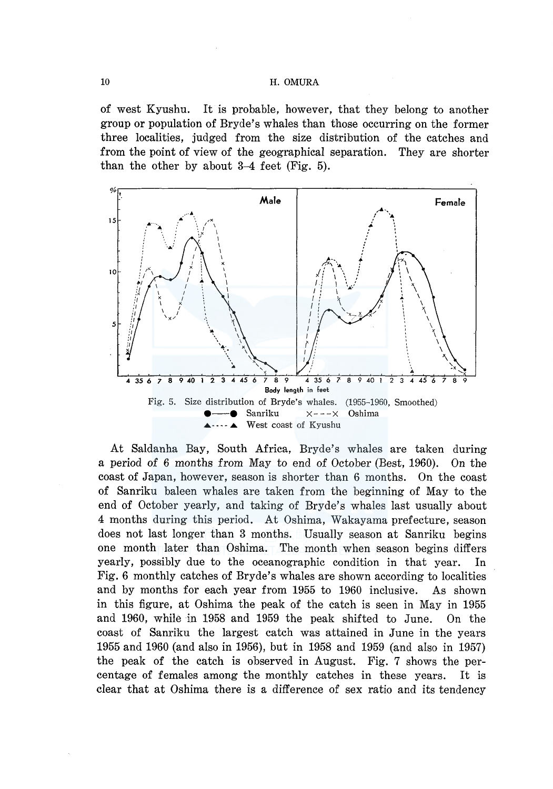of west Kyushu. It is probable, however, that they belong to another group or population of Bryde's whales than those occurring on the former three localities, judged from the size distribution of the catches and from the point of view of the geographical separation. They are shorter than the other by about 3-4 feet (Fig. 5).



At Saldanha Bay, South Africa, Bryde's whales are taken during a period of 6 months from May to end of October (Best, 1960). On the coast of Japan, however, season is shorter than 6 months. On the coast of Sanriku baleen whales are taken from the beginning of May to the end of October yearly, and taking of Bryde's whales last usually about 4 months during this period. At Oshima, Wakayama prefecture, season does not last longer than 3 months. Usually season at Sanriku begins one month later than Oshima. The month when season begins differs yearly, possibly due to the oceanographic condition in that year. In Fig. 6 monthly catches of Bryde's whales are shown according to localities and by months for each year from 1955 to 1960 inclusive. As shown in this figure, at Oshima the peak of the catch is seen in May in 1955 and 1960, while in 1958 and 1959 the peak shifted to June. On the coast of Sanriku the largest catch was attained in June in the years 1955 and 1960 (and also in 1956), but in 1958 and 1959 (and also in 1957) the peak of the catch is observed in August. Fig. 7 shows the percentage of females among the monthly catches in these years. It is clear that at Oshima there is a difference of sex ratio and its tendency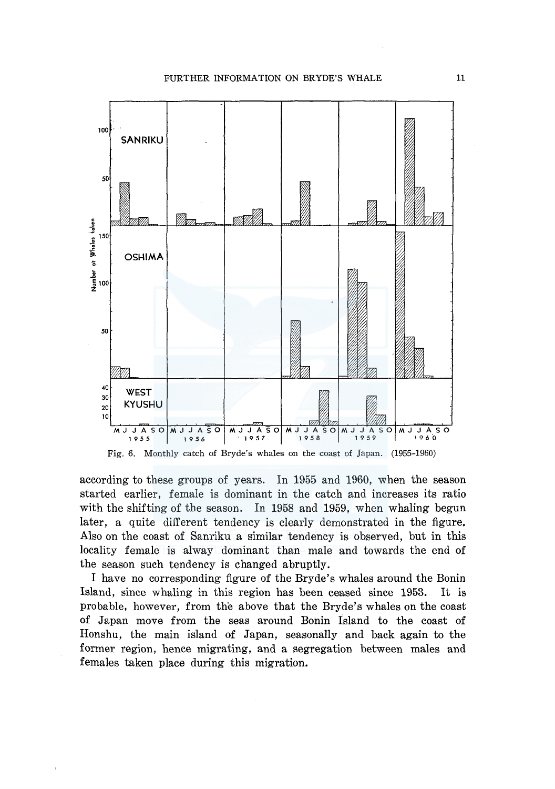

according to these groups of years. In 1955 and 1960, when the season started earlier, female is dominant in the catch and increases its ratio

with the shifting of the season. In 1958 and 1959, when whaling begun later, a quite different tendency is clearly demonstrated in the figure. Also on the coast of Sanriku a similar tendency is observed, but in this locality female is alway dominant than male and towards the end of the season such tendency is changed abruptly.

I have no corresponding figure of the Bryde's whales around the Bonin Island, since whaling in this region has been ceased since 1953. It is probable, however, from the above that the Bryde's whales on the coast of Japan move from the seas around Bonin Island to the coast of Honshu, the main island of Japan, seasonally and back again to the former region, hence migrating, and a segregation between males and females taken place during this migration.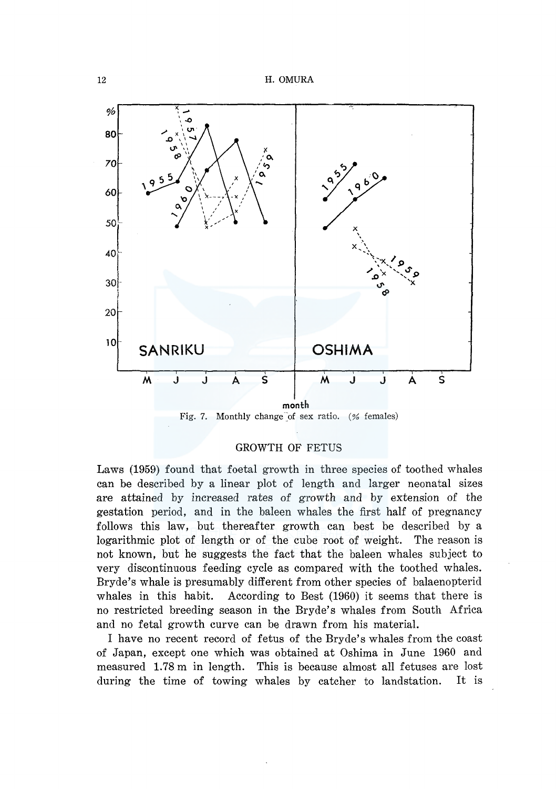

Fig. 7. Monthly change of sex ratio. (% females)

## GROWTH OF FETUS

Laws (1959) found that foetal growth in three species of toothed whales can be described by a linear plot of length and larger neonatal sizes are attained by increased rates of growth and by extension of the gestation period, and in the baleen whales the first half of pregnancy follows this law, but thereafter growth can best be described by a logarithmic plot of length or of the cube root of weight. The reason is not known, but he suggests the fact that the baleen whales subject to very discontinuous feeding cycle as compared with the toothed whales. Bryde's whale is presumably different from other species of balaenopterid whales in this habit. According to Best (1960) it seems that there is no restricted breeding season in the Bryde's whales from South Africa and no fetal growth curve can be drawn from his material.

I have no recent record of fetus of the Bryde's whales from the coast of Japan, except one which was obtained at Oshima in June 1960 and measured 1.78 m in length. This is because almost all fetuses are lost during the time of towing whales by catcher to landstation. It is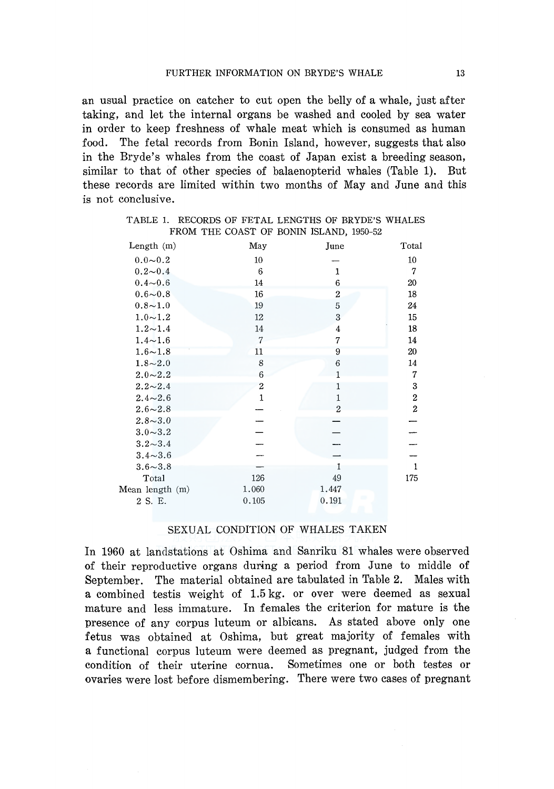an usual practice on catcher to cut open the belly of a whale, just after taking, and let the internal organs be washed and cooled by sea water in order to keep freshness of whale meat which is consumed as human food. The fetal records from Bonin Island, however, suggests that also in the Bryde's whales from the coast of Japan exist a breeding season, similar to that of other species of balaenopterid whales (Table 1). But these records are limited within two months of May and June and this is not conclusive.

| Length $(m)$    | May            | June           | Total          |
|-----------------|----------------|----------------|----------------|
| $0.0 - 0.2$     | 10             |                | 10             |
| $0.2{\sim}0.4$  | 6              | 1              | 7              |
| $0.4 - 0.6$     | 14             | 6              | 20             |
| $0.6 - 0.8$     | 16             | $\overline{2}$ | 18             |
| $0.8 - 1.0$     | 19             | 5              | 24             |
| $1.0 - 1.2$     | 12             | 3              | 15             |
| $1.2 - 1.4$     | 14             | 4              | 18             |
| $1.4 - 1.6$     | $\overline{7}$ | 7              | 14             |
| $1.6 - 1.8$     | 11             | 9              | 20             |
| $1.8 - 2.0$     | 8              | 6              | 14             |
| $2.0 - 2.2$     | 6              | 1              | 7              |
| $2.2 - 2.4$     | $\overline{c}$ | 1              | 3              |
| $2.4 - 2.6$     | $\mathbf{1}$   | $\mathbf{1}$   | 2              |
| $2.6 - 2.8$     |                | $\overline{2}$ | $\overline{c}$ |
| $2.8 - 3.0$     |                |                |                |
| $3.0 - 3.2$     |                |                |                |
| $3.2 - 3.4$     |                |                |                |
| $3.4 - 3.6$     |                |                |                |
| $3.6 - 3.8$     |                | 1              | $\mathbf{1}$   |
| Total           | 126            | 49             | 175            |
| Mean length (m) | 1.060          | 1.447          |                |
| 2 S. E.         | 0.105          | 0.191          |                |
|                 |                |                |                |

# FROM THE COAST OF BONIN ISLAND, 1950-52

TABLE 1. RECORDS OF FETAL LENGTHS OF BRYDE'S WHALES

## SEXUAL CONDITION OF WHALES TAKEN

In 1960 at landstations at Oshima and Sanriku 81 whales were observed of their reproductive organs during a period from June to middle of September. The material obtained are tabulated in Table 2. Males with a combined testis weight of 1.5 kg. or over were deemed as sexual mature and less immature. In females the criterion for mature is the presence of any corpus luteum or albicans. As stated above only one fetus was obtained at Oshima, but great majority of females with a functional corpus luteum were deemed as pregnant, judged from the condition of their uterine cornua. Sometimes one or both testes or ovaries were lost before dismembering. There were two cases of pregnant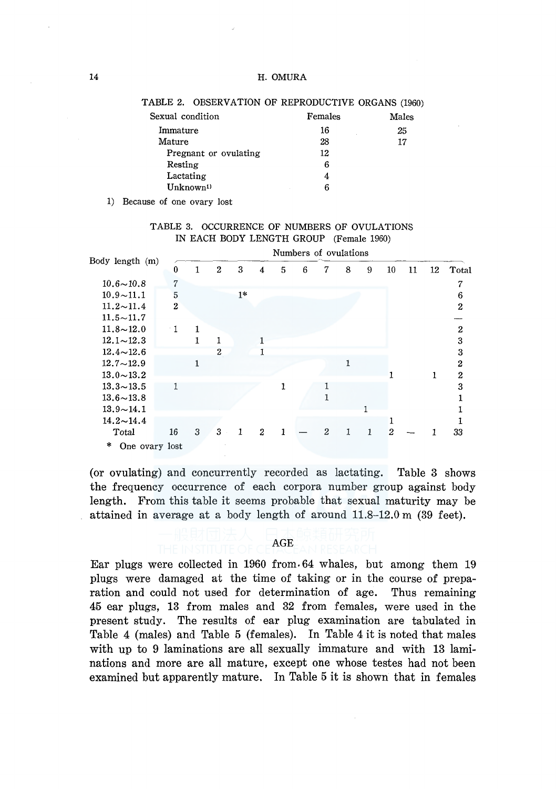| Sexual condition      | Females | Males |
|-----------------------|---------|-------|
| Immature              | 16      | 25    |
| Mature                | 28      | 17    |
| Pregnant or ovulating | 12      |       |
| Resting               | 6       |       |
| Lactating             | 4       |       |
| Unknown <sup>1)</sup> | 6       |       |
|                       |         |       |

#### TABLE 2. OBSERVATION OF REPRODUCTIVE ORGANS (1960)

1) Because of one ovary lost

| TABLE 3. OCCURRENCE OF NUMBERS OF OVULATIONS |                                         |  |  |
|----------------------------------------------|-----------------------------------------|--|--|
|                                              | IN EACH BODY LENGTH GROUP (Female 1960) |  |  |

|                     | Numbers of ovulations |   |                  |      |   |   |   |   |   |   |                |    |    |                |
|---------------------|-----------------------|---|------------------|------|---|---|---|---|---|---|----------------|----|----|----------------|
| Body length (m)     | 0                     | 1 | $\boldsymbol{2}$ | 3    | 4 | 5 | 6 | 7 | 8 | 9 | $10\,$         | 11 | 12 | Total          |
| $10.6 - 10.8$       | 7                     |   |                  |      |   |   |   |   |   |   |                |    |    |                |
| $10.9 - 11.1$       | 5                     |   |                  | $1*$ |   |   |   |   |   |   |                |    |    | 6              |
| $11.2 \sim 11.4$    | $\mathbf{2}$          |   |                  |      |   |   |   |   |   |   |                |    |    | $\mathbf{2}$   |
| $11.5 \sim 11.7$    |                       |   |                  |      |   |   |   |   |   |   |                |    |    |                |
| $11.8 - 12.0$       | $\cdot$ 1             | 1 |                  |      |   |   |   |   |   |   |                |    |    | $\overline{2}$ |
| $12.1 \sim 12.3$    |                       | 1 |                  |      |   |   |   |   |   |   |                |    |    | 3              |
| $12.4 \sim 12.6$    |                       |   | $\overline{2}$   |      | T |   |   |   |   |   |                |    |    | 3              |
| $12.7 - 12.9$       |                       |   |                  |      |   |   |   |   |   |   |                |    |    | $\overline{2}$ |
| $13.0 \sim 13.2$    |                       |   |                  |      |   |   |   |   |   |   |                |    |    | $\overline{2}$ |
| $13.3 \sim 13.5$    | 1                     |   |                  |      |   |   |   |   |   |   |                |    |    | 3              |
| $13.6 - 13.8$       |                       |   |                  |      |   |   |   |   |   |   |                |    |    |                |
| $13.9 - 14.1$       |                       |   |                  |      |   |   |   |   |   |   |                |    |    |                |
| $14.2 - 14.4$       |                       |   |                  |      |   |   |   |   |   |   |                |    |    |                |
| Total               | 16                    | 3 | 3                |      | 2 |   |   | 2 |   | 1 | $\mathfrak{D}$ |    |    | 33             |
| 米<br>One ovary lost |                       |   |                  |      |   |   |   |   |   |   |                |    |    |                |

(or ovulating) and concurrently recorded as lactating. Table 3 shows the frequency occurrence of each corpora number group against body length. From this table it seems probable that sexual maturity may be attained in average at a body length of around 11.8-12.0 m (39 feet).

## AGE

Ear plugs were collected in 1960 from. 64 whales, but among them 19 plugs were damaged at the time of taking or in the course of preparation and could not used for determination of age. Thus remaining 45 ear plugs, 13 from males and 32 from females, were used in the present study. The results of ear plug examination are tabulated in Table 4 (males) and Table 5 (females). In Table 4 it is noted that males with up to 9 laminations are all sexually immature and with 13 laminations and more are all mature, except one whose testes had not been examined but apparently mature. In Table 5 it is shown that in females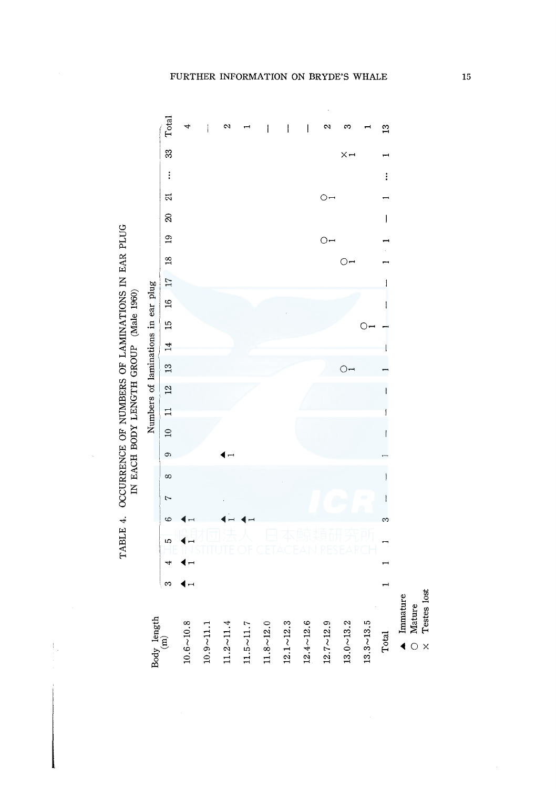

 $\frac{1}{2}$ 

FURTHER INFORMATION ON BRYDE'S WHALE

15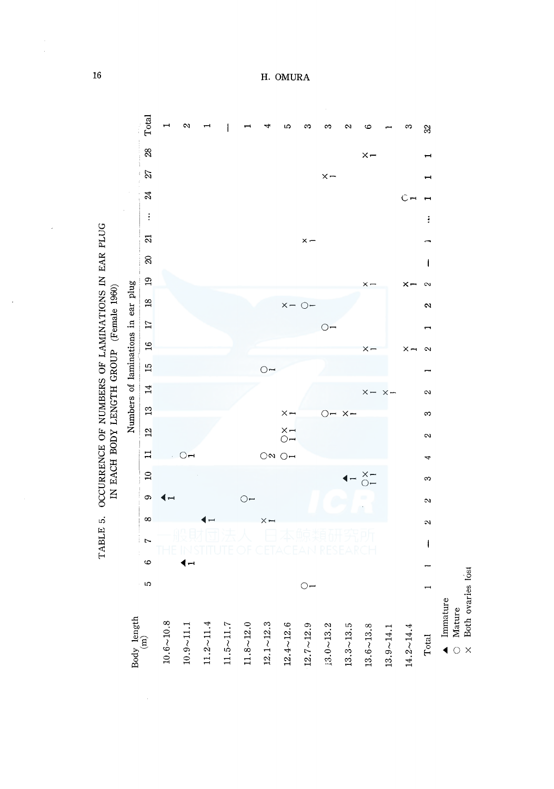

 $16\,$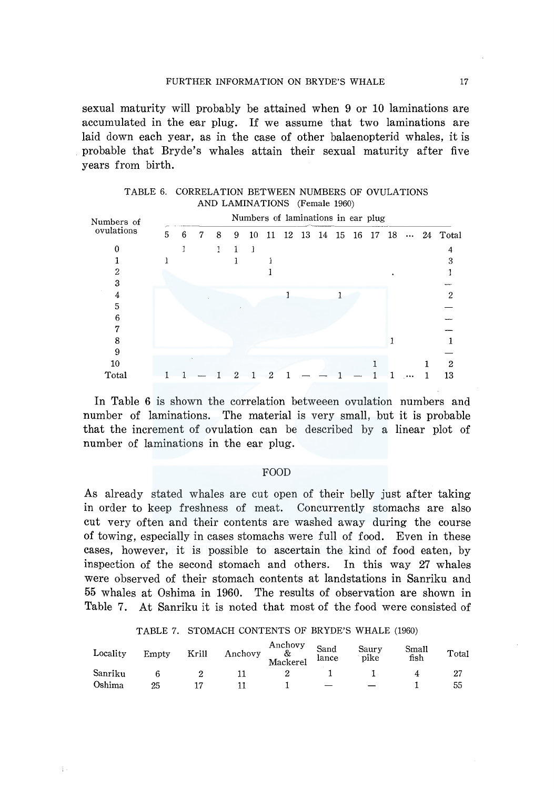sexual maturity will probably be attained when 9 or 10 laminations are accumulated in the ear plug. If we assume that two laminations are laid down each year, as in the case of other balaenopterid whales, it is probable that Bryde's whales attain their sexual maturity after five years from birth.

| Numbers of | Numbers of laminations in ear plug |   |   |   |   |    |    |  |          |  |    |  |       |      |  |                   |
|------------|------------------------------------|---|---|---|---|----|----|--|----------|--|----|--|-------|------|--|-------------------|
| ovulations | 5                                  | 6 | 7 | 8 | 9 | 10 | 11 |  | 12 13 14 |  | 15 |  | 16 17 | - 18 |  | $\cdots$ 24 Total |
|            |                                    |   |   |   |   | 1  |    |  |          |  |    |  |       |      |  |                   |
|            |                                    |   |   |   |   |    |    |  |          |  |    |  |       |      |  |                   |
| 2          |                                    |   |   |   |   |    |    |  |          |  |    |  |       |      |  |                   |
| 3          |                                    |   |   |   |   |    |    |  |          |  |    |  |       |      |  |                   |
| 4          |                                    |   |   |   |   |    |    |  |          |  |    |  |       |      |  | 2                 |
| 5          |                                    |   |   |   |   |    |    |  |          |  |    |  |       |      |  |                   |
| 6          |                                    |   |   |   |   |    |    |  |          |  |    |  |       |      |  |                   |
| 7          |                                    |   |   |   |   |    |    |  |          |  |    |  |       |      |  |                   |
| 8          |                                    |   |   |   |   |    |    |  |          |  |    |  |       |      |  |                   |
| 9          |                                    |   |   |   |   |    |    |  |          |  |    |  |       |      |  |                   |
| 10         |                                    |   |   |   |   |    |    |  |          |  |    |  |       |      |  | 2                 |
| Total      |                                    |   |   |   |   |    |    |  |          |  |    |  |       |      |  | 13                |

TABLE 6. CORRELATION BETWEEN NUMBERS OF OVULATIONS AND LAMINATIONS (Female 1960)

In Table 6 is shown the correlation betweeen ovulation numbers and number of laminations. The material is very small, but it is probable that the increment of ovulation can be described by a linear plot of number of laminations in the ear plug.

## FOOD

As already stated whales are cut open of their belly just after taking in order to keep freshness of meat. Concurrently stomachs are also cut very often and their contents are washed away during the course of towing, especially in cases stomachs were full of food. Even in these cases, however, it is possible to ascertain the kind of food eaten, by inspection of the second stomach and others. In this way 27 whales were observed of their stomach contents at landstations in Sanriku and 55 whales at Oshima in 1960. The results of observation are shown in Table 7. At Sanriku it is noted that most of the food were consisted of

#### TABLE 7. STOMACH CONTENTS OF BRYDE'S WHALE (1960)

| Locality | Empty | Krill | Anchovy | Anchovy<br>&<br>Mackerel | Sand<br>lance | Saury<br>pike | Small<br>fish | Total |
|----------|-------|-------|---------|--------------------------|---------------|---------------|---------------|-------|
| Sanriku  |       |       |         |                          |               |               |               |       |
| Oshima   | 25    |       |         |                          |               |               |               | 55    |